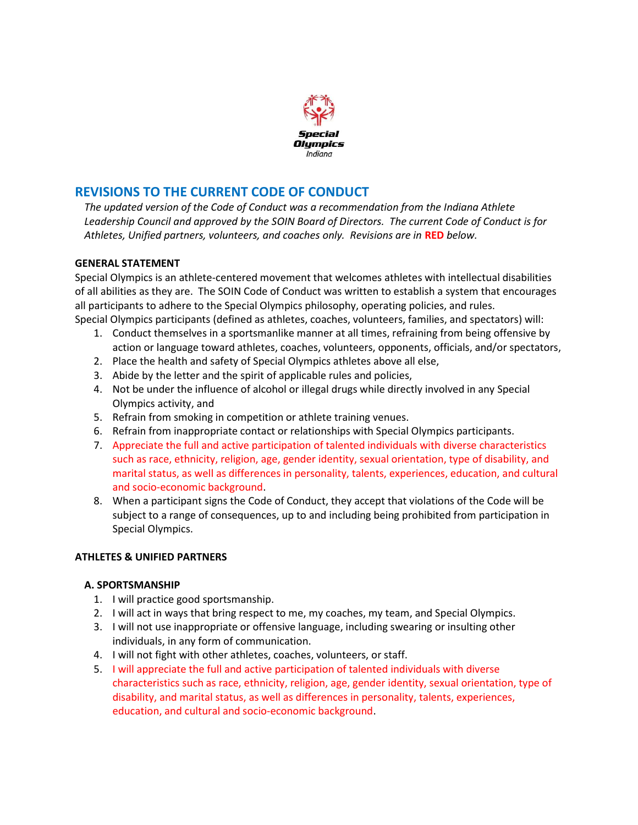

## REVISIONS TO THE CURRENT CODE OF CONDUCT

The updated version of the Code of Conduct was a recommendation from the Indiana Athlete Leadership Council and approved by the SOIN Board of Directors. The current Code of Conduct is for Athletes, Unified partners, volunteers, and coaches only. Revisions are in RED below.

#### GENERAL STATEMENT

Special Olympics is an athlete-centered movement that welcomes athletes with intellectual disabilities of all abilities as they are. The SOIN Code of Conduct was written to establish a system that encourages all participants to adhere to the Special Olympics philosophy, operating policies, and rules. Special Olympics participants (defined as athletes, coaches, volunteers, families, and spectators) will:

- 1. Conduct themselves in a sportsmanlike manner at all times, refraining from being offensive by action or language toward athletes, coaches, volunteers, opponents, officials, and/or spectators,
- 2. Place the health and safety of Special Olympics athletes above all else,
- 3. Abide by the letter and the spirit of applicable rules and policies,
- 4. Not be under the influence of alcohol or illegal drugs while directly involved in any Special Olympics activity, and
- 5. Refrain from smoking in competition or athlete training venues.
- 6. Refrain from inappropriate contact or relationships with Special Olympics participants.
- 7. Appreciate the full and active participation of talented individuals with diverse characteristics such as race, ethnicity, religion, age, gender identity, sexual orientation, type of disability, and marital status, as well as differences in personality, talents, experiences, education, and cultural and socio-economic background.
- 8. When a participant signs the Code of Conduct, they accept that violations of the Code will be subject to a range of consequences, up to and including being prohibited from participation in Special Olympics.

#### ATHLETES & UNIFIED PARTNERS

#### A. SPORTSMANSHIP

- 1. I will practice good sportsmanship.
- 2. I will act in ways that bring respect to me, my coaches, my team, and Special Olympics.
- 3. I will not use inappropriate or offensive language, including swearing or insulting other individuals, in any form of communication.
- 4. I will not fight with other athletes, coaches, volunteers, or staff.
- 5. I will appreciate the full and active participation of talented individuals with diverse characteristics such as race, ethnicity, religion, age, gender identity, sexual orientation, type of disability, and marital status, as well as differences in personality, talents, experiences, education, and cultural and socio-economic background.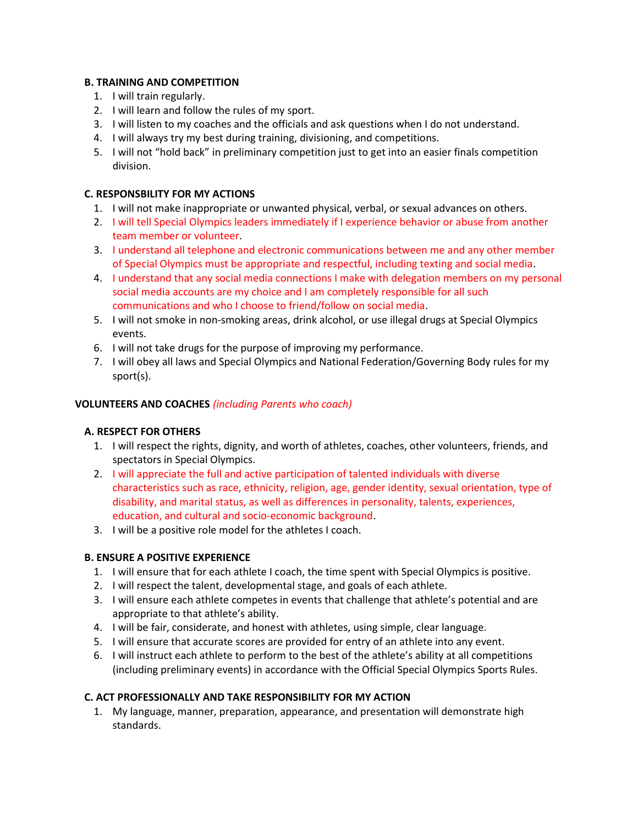## B. TRAINING AND COMPETITION

- 1. I will train regularly.
- 2. I will learn and follow the rules of my sport.
- 3. I will listen to my coaches and the officials and ask questions when I do not understand.
- 4. I will always try my best during training, divisioning, and competitions.
- 5. I will not "hold back" in preliminary competition just to get into an easier finals competition division.

## C. RESPONSBILITY FOR MY ACTIONS

- 1. I will not make inappropriate or unwanted physical, verbal, or sexual advances on others.
- 2. I will tell Special Olympics leaders immediately if I experience behavior or abuse from another team member or volunteer.
- 3. I understand all telephone and electronic communications between me and any other member of Special Olympics must be appropriate and respectful, including texting and social media.
- 4. I understand that any social media connections I make with delegation members on my personal social media accounts are my choice and I am completely responsible for all such communications and who I choose to friend/follow on social media.
- 5. I will not smoke in non-smoking areas, drink alcohol, or use illegal drugs at Special Olympics events.
- 6. I will not take drugs for the purpose of improving my performance.
- 7. I will obey all laws and Special Olympics and National Federation/Governing Body rules for my sport(s).

## VOLUNTEERS AND COACHES (including Parents who coach)

## A. RESPECT FOR OTHERS

- 1. I will respect the rights, dignity, and worth of athletes, coaches, other volunteers, friends, and spectators in Special Olympics.
- 2. I will appreciate the full and active participation of talented individuals with diverse characteristics such as race, ethnicity, religion, age, gender identity, sexual orientation, type of disability, and marital status, as well as differences in personality, talents, experiences, education, and cultural and socio-economic background.
- 3. I will be a positive role model for the athletes I coach.

## B. ENSURE A POSITIVE EXPERIENCE

- 1. I will ensure that for each athlete I coach, the time spent with Special Olympics is positive.
- 2. I will respect the talent, developmental stage, and goals of each athlete.
- 3. I will ensure each athlete competes in events that challenge that athlete's potential and are appropriate to that athlete's ability.
- 4. I will be fair, considerate, and honest with athletes, using simple, clear language.
- 5. I will ensure that accurate scores are provided for entry of an athlete into any event.
- 6. I will instruct each athlete to perform to the best of the athlete's ability at all competitions (including preliminary events) in accordance with the Official Special Olympics Sports Rules.

#### C. ACT PROFESSIONALLY AND TAKE RESPONSIBILITY FOR MY ACTION

1. My language, manner, preparation, appearance, and presentation will demonstrate high standards.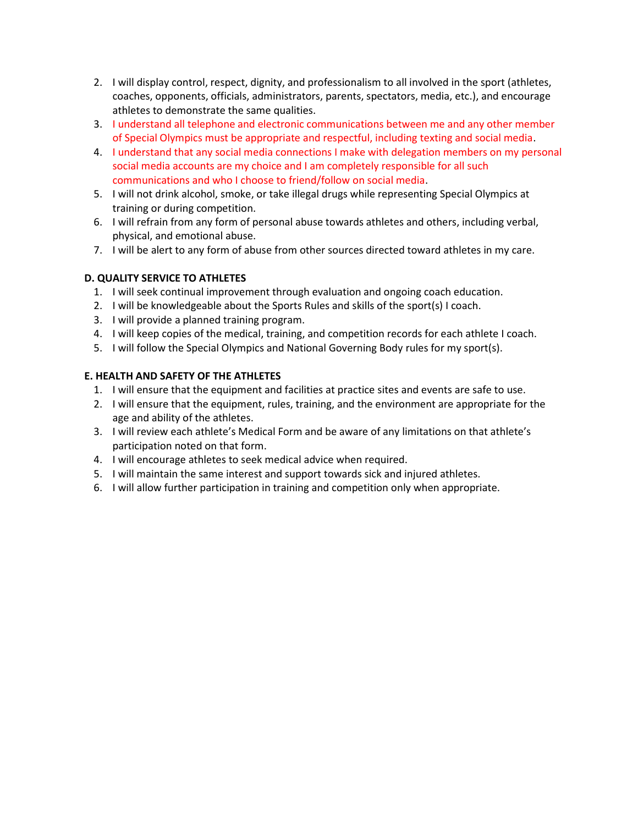- 2. I will display control, respect, dignity, and professionalism to all involved in the sport (athletes, coaches, opponents, officials, administrators, parents, spectators, media, etc.), and encourage athletes to demonstrate the same qualities.
- 3. I understand all telephone and electronic communications between me and any other member of Special Olympics must be appropriate and respectful, including texting and social media.
- 4. I understand that any social media connections I make with delegation members on my personal social media accounts are my choice and I am completely responsible for all such communications and who I choose to friend/follow on social media.
- 5. I will not drink alcohol, smoke, or take illegal drugs while representing Special Olympics at training or during competition.
- 6. I will refrain from any form of personal abuse towards athletes and others, including verbal, physical, and emotional abuse.
- 7. I will be alert to any form of abuse from other sources directed toward athletes in my care.

## D. QUALITY SERVICE TO ATHLETES

- 1. I will seek continual improvement through evaluation and ongoing coach education.
- 2. I will be knowledgeable about the Sports Rules and skills of the sport(s) I coach.
- 3. I will provide a planned training program.
- 4. I will keep copies of the medical, training, and competition records for each athlete I coach.
- 5. I will follow the Special Olympics and National Governing Body rules for my sport(s).

## E. HEALTH AND SAFETY OF THE ATHLETES

- 1. I will ensure that the equipment and facilities at practice sites and events are safe to use.
- 2. I will ensure that the equipment, rules, training, and the environment are appropriate for the age and ability of the athletes.
- 3. I will review each athlete's Medical Form and be aware of any limitations on that athlete's participation noted on that form.
- 4. I will encourage athletes to seek medical advice when required.
- 5. I will maintain the same interest and support towards sick and injured athletes.
- 6. I will allow further participation in training and competition only when appropriate.